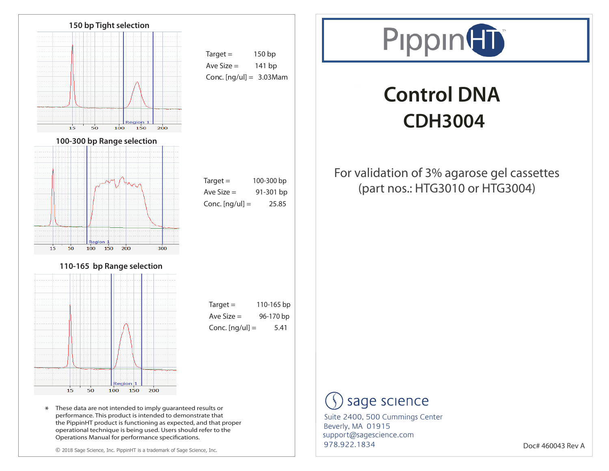

performance. This product is intended to demonstrate that the PippinHT product is functioning as expected, and that proper operational technique is being used. Users should refer to the

© 2018 Sage Science, Inc. PippinHT is a trademark of Sage Science, Inc.

Operations Manual for performance specifications.



# **Control DNA CDH3004**

### For validation of 3% agarose gel cassettes (part nos.: HTG3010 or HTG3004)

## sage science

978.922.1834 support@sagescience.com Suite 2400, 500 Cummings Center Beverly, MA 01915

Doc# 460043 Rev A